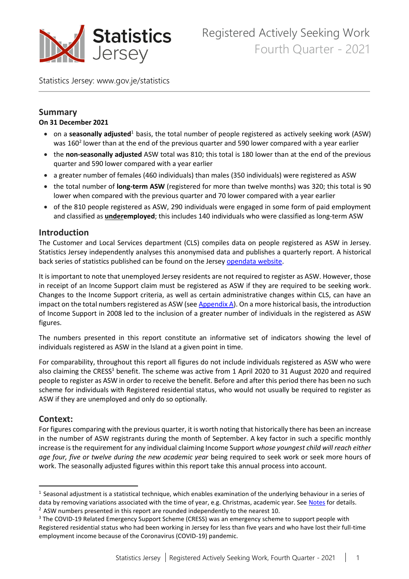

Registered Actively Seeking Work Fourth Quarter - 2021

Statistics Jersey: [www.gov.je/statistics](http://www.gov.je/statistics)

#### **Summary**

#### **On 31 December 2021**

- **•** on a **seasonally adjusted**<sup>1</sup> basis, the total number of people registered as actively seeking work (ASW) was 160<sup>2</sup> lower than at the end of the previous quarter and 590 lower compared with a year earlier
- the **non-seasonally adjusted** ASW total was 810; this total is 180 lower than at the end of the previous quarter and 590 lower compared with a year earlier
- a greater number of females (460 individuals) than males (350 individuals) were registered as ASW
- the total number of **long-term ASW** (registered for more than twelve months) was 320; this total is 90 lower when compared with the previous quarter and 70 lower compared with a year earlier
- of the 810 people registered as ASW, 290 individuals were engaged in some form of paid employment and classified as **underemployed**; this includes 140 individuals who were classified as long-term ASW

#### **Introduction**

The Customer and Local Services department (CLS) compiles data on people registered as ASW in Jersey. Statistics Jersey independently analyses this anonymised data and publishes a quarterly report. A historical back series of statistics published can be found on the Jersey [opendata](https://opendata.gov.je/dataset/unemployment-registered-actively-seeking-work/resource/4264c50c-f524-4ade-a837-400c18814837?_gl=1*4pxcof*_ga*MTM0Nzc4OTU3Mi4xNjI0NjIzNzU1*_ga_07GM08Q17P*MTYyNTIzNTUxMi43LjEuMTYyNTIzNTUyMS4w) website.

It is important to note that unemployed Jersey residents are not required to register as ASW. However, those in receipt of an Income Support claim must be registered as ASW if they are required to be seeking work. Changes to the Income Support criteria, as well as certain administrative changes within CLS, can have an impact on the total numbers registered as ASW (see  $\Delta$ ppendix  $\Delta$ ). On a more historical basis, the introduction of Income Support in 2008 led to the inclusion of a greater number of individuals in the registered as ASW figures.

The numbers presented in this report constitute an informative set of indicators showing the level of individuals registered as ASW in the Island at a given point in time.

For comparability, throughout this report all figures do not include individuals registered as ASW who were also claiming the CRESS<sup>3</sup> benefit. The scheme was active from 1 April 2020 to 31 August 2020 and required people to register as ASW in order to receive the benefit. Before and after this period there has been no such scheme for individuals with Registered residential status, who would not usually be required to register as ASW if they are unemployed and only do so optionally.

#### **Context:**

For figures comparing with the previous quarter, it is worth noting that historically there has been an increase in the number of ASW registrants during the month of September. A key factor in such a specific monthly increase is the requirement for any individual claiming Income Support *whose youngest child will reach either age four, five or twelve during the new academic year* being required to seek work or seek more hours of work. The seasonally adjusted figures within this report take this annual process into account.

 $<sup>1</sup>$  Seasonal adjustment is a statistical technique, which enables examination of the underlying behaviour in a series of</sup> data by removing variations associated with the time of year, e.g. Christmas, academic year. See [Notes](#page-7-1) for details.

 $2$  ASW numbers presented in this report are rounded independently to the nearest 10.

<sup>&</sup>lt;sup>3</sup> The COVID-19 Related Emergency Support Scheme (CRESS) was an emergency scheme to support people with Registered residential status who had been working in Jersey for less than five years and who have lost their full-time employment income because of the Coronavirus (COVID-19) pandemic.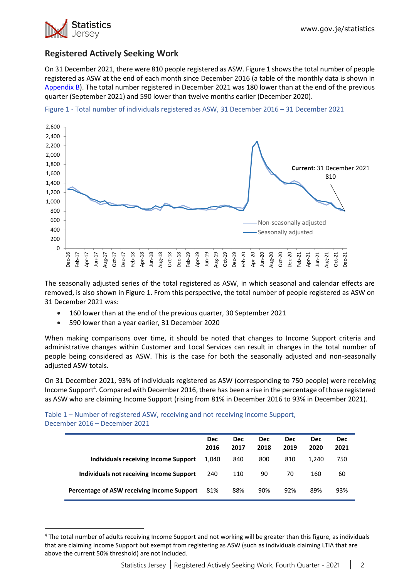

# **Registered Actively Seeking Work**

On 31 December 2021, there were 810 people registered as ASW. Figure 1 shows the total number of people registered as ASW at the end of each month since December 2016 (a table of the monthly data is shown in [Appendix B\)](#page-9-0). The total number registered in December 2021 was 180 lower than at the end of the previous quarter (September 2021) and 590 lower than twelve months earlier (December 2020).



Figure 1 - Total number of individuals registered as ASW, 31 December 2016 – 31 December 2021

The seasonally adjusted series of the total registered as ASW, in which seasonal and calendar effects are removed, is also shown in Figure 1. From this perspective, the total number of people registered as ASW on 31 December 2021 was:

- 160 lower than at the end of the previous quarter, 30 September 2021
- 590 lower than a year earlier, 31 December 2020

When making comparisons over time, it should be noted that changes to Income Support criteria and administrative changes within Customer and Local Services can result in changes in the total number of people being considered as ASW. This is the case for both the seasonally adjusted and non-seasonally adjusted ASW totals.

On 31 December 2021, 93% of individuals registered as ASW (corresponding to 750 people) were receiving Income Support<sup>4</sup>. Compared with December 2016, there has been a rise in the percentage of those registered as ASW who are claiming Income Support (rising from 81% in December 2016 to 93% in December 2021).

Table 1 – Number of registered ASW, receiving and not receiving Income Support, December 2016 – December 2021

|                                             | <b>Dec</b><br>2016 | <b>Dec</b><br>2017 | <b>Dec</b><br>2018 | <b>Dec</b><br>2019 | <b>Dec</b><br>2020 | <b>Dec</b><br>2021 |
|---------------------------------------------|--------------------|--------------------|--------------------|--------------------|--------------------|--------------------|
| <b>Individuals receiving Income Support</b> | 1.040              | 840                | 800                | 810                | 1.240              | 750                |
| Individuals not receiving Income Support    | 240                | 110                | 90                 | 70                 | 160                | 60                 |
| Percentage of ASW receiving Income Support  | 81%                | 88%                | 90%                | 92%                | 89%                | 93%                |

<sup>&</sup>lt;sup>4</sup> The total number of adults receiving Income Support and not working will be greater than this figure, as individuals that are claiming Income Support but exempt from registering as ASW (such as individuals claiming LTIA that are above the current 50% threshold) are not included.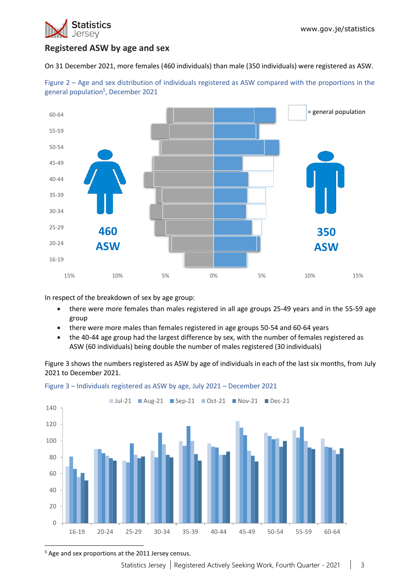

# **Registered ASW by age and sex**

On 31 December 2021, more females (460 individuals) than male (350 individuals) were registered as ASW.



Figure 2 – Age and sex distribution of individuals registered as ASW compared with the proportions in the general population<sup>5</sup>, December 2021

In respect of the breakdown of sex by age group:

- there were more females than males registered in all age groups 25-49 years and in the 55-59 age group
- there were more males than females registered in age groups 50-54 and 60-64 years
- the 40-44 age group had the largest difference by sex, with the number of females registered as ASW (60 individuals) being double the number of males registered (30 individuals)

Figure 3 shows the numbers registered as ASW by age of individuals in each of the last six months, from July 2021 to December 2021.



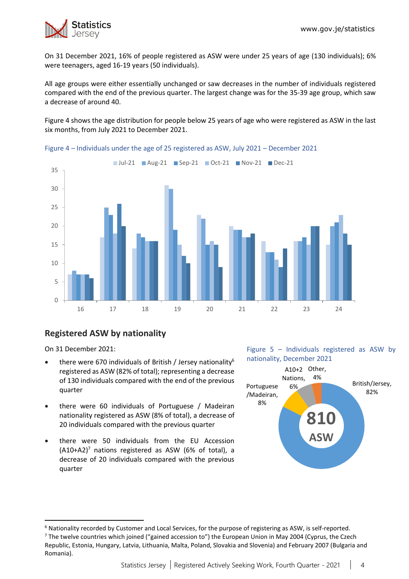

On 31 December 2021, 16% of people registered as ASW were under 25 years of age (130 individuals); 6% were teenagers, aged 16-19 years (50 individuals).

All age groups were either essentially unchanged or saw decreases in the number of individuals registered compared with the end of the previous quarter. The largest change was for the 35-39 age group, which saw a decrease of around 40.

Figure 4 shows the age distribution for people below 25 years of age who were registered as ASW in the last six months, from July 2021 to December 2021.



Figure 4 – Individuals under the age of 25 registered as ASW, July 2021 – December 2021

## **Registered ASW by nationality**

On 31 December 2021:

- there were 670 individuals of British / Jersey nationality $6$ registered as ASW (82% of total); representing a decrease of 130 individuals compared with the end of the previous quarter
- there were 60 individuals of Portuguese / Madeiran nationality registered as ASW (8% of total), a decrease of 20 individuals compared with the previous quarter
- there were 50 individuals from the EU Accession  $(A10+A2)^7$  nations registered as ASW (6% of total), a decrease of 20 individuals compared with the previous quarter





<sup>6</sup> Nationality recorded by Customer and Local Services, for the purpose of registering as ASW, is self-reported.

 $7$  The twelve countries which joined ("gained accession to") the European Union in May 2004 (Cyprus, the Czech Republic, Estonia, Hungary, Latvia, Lithuania, Malta, Poland, Slovakia and Slovenia) and February 2007 (Bulgaria and Romania).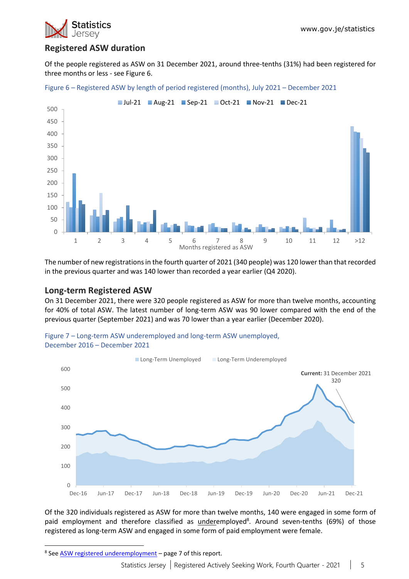

# **Registered ASW duration**

Of the people registered as ASW on 31 December 2021, around three-tenths (31%) had been registered for three months or less - see Figure 6.





The number of new registrations in the fourth quarter of 2021 (340 people) was 120 lower than that recorded in the previous quarter and was 140 lower than recorded a year earlier (Q4 2020).

#### **Long-term Registered ASW**

On 31 December 2021, there were 320 people registered as ASW for more than twelve months, accounting for 40% of total ASW. The latest number of long-term ASW was 90 lower compared with the end of the previous quarter (September 2021) and was 70 lower than a year earlier (December 2020).





Of the 320 individuals registered as ASW for more than twelve months, 140 were engaged in some form of paid employment and therefore classified as underemployed<sup>8</sup>. Around seven-tenths (69%) of those registered as long-term ASW and engaged in some form of paid employment were female.

<sup>&</sup>lt;sup>8</sup> Se[e ASW registered underemployment](#page-6-0) - page 7 of this report.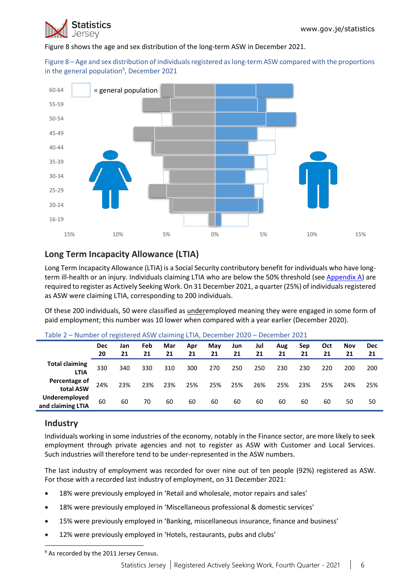

Figure 8 shows the age and sex distribution of the long-term ASW in December 2021.

Figure 8 – Age and sex distribution of individuals registered as long-term ASW compared with the proportions in the general population<sup>9</sup>, December 2021



# **Long Term Incapacity Allowance (LTIA)**

Long Term Incapacity Allowance (LTIA) is a Social Security contributory benefit for individuals who have longterm ill-health or an injury. Individuals claiming LTIA who are below the 50% threshold (se[e Appendix A\)](#page-7-0) are required to register as Actively Seeking Work. On 31 December 2021, a quarter (25%) of individuals registered as ASW were claiming LTIA, corresponding to 200 individuals.

Of these 200 individuals, 50 were classified as underemployed meaning they were engaged in some form of paid employment; this number was 10 lower when compared with a year earlier (December 2020).

|                                      | <b>Dec</b><br>20 | Jan<br>21 | Feb<br>21 | Mar<br>21 | Apr<br>21 | May<br>21 | Jun<br>21 | Jul<br>21 | Aug<br>21 | Sep<br>21 | Oct<br>21 | <b>Nov</b><br>21 | <b>Dec</b><br>21 |
|--------------------------------------|------------------|-----------|-----------|-----------|-----------|-----------|-----------|-----------|-----------|-----------|-----------|------------------|------------------|
| <b>Total claiming</b><br><b>LTIA</b> | 330              | 340       | 330       | 310       | 300       | 270       | 250       | 250       | 230       | 230       | 220       | 200              | 200              |
| Percentage of<br>total ASW           | 24%              | 23%       | 23%       | 23%       | 25%       | 25%       | 25%       | 26%       | 25%       | 23%       | 25%       | 24%              | 25%              |
| Underemployed<br>and claiming LTIA   | 60               | 60        | 70        | 60        | 60        | 60        | 60        | 60        | 60        | 60        | 60        | 50               | 50               |

Table 2 – Number of registered ASW claiming LTIA, December 2020 – December 2021

## **Industry**

Individuals working in some industries of the economy, notably in the Finance sector, are more likely to seek employment through private agencies and not to register as ASW with Customer and Local Services. Such industries will therefore tend to be under-represented in the ASW numbers.

The last industry of employment was recorded for over nine out of ten people (92%) registered as ASW. For those with a recorded last industry of employment, on 31 December 2021:

- 18% were previously employed in 'Retail and wholesale, motor repairs and sales'
- 18% were previously employed in 'Miscellaneous professional & domestic services'
- 15% were previously employed in 'Banking, miscellaneous insurance, finance and business'
- 12% were previously employed in 'Hotels, restaurants, pubs and clubs'

<sup>&</sup>lt;sup>9</sup> As recorded by the 2011 Jersey Census.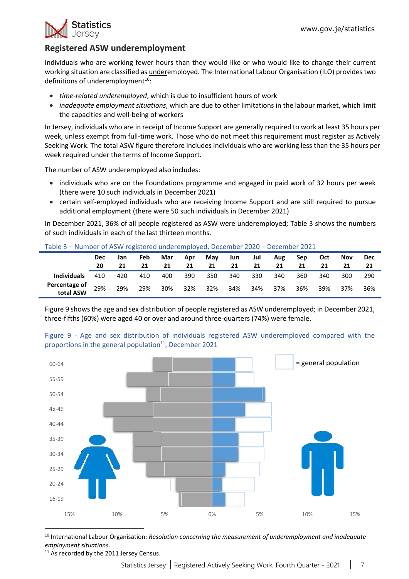

# <span id="page-6-0"></span>**Registered ASW underemployment**

Individuals who are working fewer hours than they would like or who would like to change their current working situation are classified as underemployed. The International Labour Organisation (ILO) provides two definitions of underemployment $10$ :

- *time-related underemployed*, which is due to insufficient hours of work
- *inadequate employment situations*, which are due to other limitations in the labour market, which limit the capacities and well-being of workers

In Jersey, individuals who are in receipt of Income Support are generally required to work at least 35 hours per week, unless exempt from full-time work. Those who do not meet this requirement must register as Actively Seeking Work. The total ASW figure therefore includes individuals who are working less than the 35 hours per week required under the terms of Income Support.

The number of ASW underemployed also includes:

- individuals who are on the Foundations programme and engaged in paid work of 32 hours per week (there were 10 such individuals in December 2021)
- certain self-employed individuals who are receiving Income Support and are still required to pursue additional employment (there were 50 such individuals in December 2021)

In December 2021, 36% of all people registered as ASW were underemployed; Table 3 shows the numbers of such individuals in each of the last thirteen months.

|                            | <b>Dec</b> | Jan | Feb | Mar | Apr | May | Jun | Jul | Aug | Sep | Oct | <b>Nov</b> | <b>Dec</b> |
|----------------------------|------------|-----|-----|-----|-----|-----|-----|-----|-----|-----|-----|------------|------------|
|                            | 20         | 21  |     | 21  | 21  | 21  | 21  | 21  | 21  | 21  | 21  | 21         |            |
| <b>Individuals</b>         | 410        | 420 | 410 | 400 | 390 | 350 | 340 | 330 | 340 | 360 | 340 | 300        | 290        |
| Percentage of<br>total ASW | 29%        | 29% | 29% | 30% | 32% | 32% | 34% | 34% | 37% | 36% | 39% | 37%        | 36%        |

Figure 9 shows the age and sex distribution of people registered as ASW underemployed; in December 2021, three-fifths (60%) were aged 40 or over and around three-quarters (74%) were female.



Figure 9 - Age and sex distribution of individuals registered ASW underemployed compared with the proportions in the general population $11$ , December 2021

<sup>10</sup> International Labour Organisation: *Resolution concerning the measurement of underemployment and inadequate employment situations*.

<sup>11</sup> As recorded by the 2011 Jersey Census.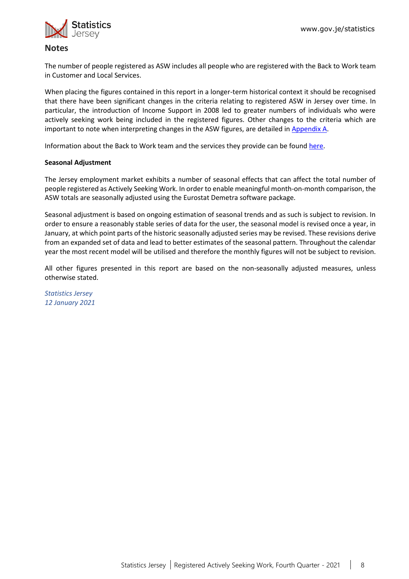

#### <span id="page-7-1"></span>**Notes**

The number of people registered as ASW includes all people who are registered with the Back to Work team in Customer and Local Services.

When placing the figures contained in this report in a longer-term historical context it should be recognised that there have been significant changes in the criteria relating to registered ASW in Jersey over time. In particular, the introduction of Income Support in 2008 led to greater numbers of individuals who were actively seeking work being included in the registered figures. Other changes to the criteria which are important to note when interpreting changes in the ASW figures, are detailed in [Appendix A.](#page-7-0)

<span id="page-7-2"></span>Information about the Back to Work team and the services they provide can be found [here.](https://www.gov.je/working/jobcareeradvice/aboutbacktowork/Pages/index.aspx)

#### **Seasonal Adjustment**

The Jersey employment market exhibits a number of seasonal effects that can affect the total number of people registered as Actively Seeking Work. In order to enable meaningful month-on-month comparison, the ASW totals are seasonally adjusted using the Eurostat Demetra software package.

Seasonal adjustment is based on ongoing estimation of seasonal trends and as such is subject to revision. In order to ensure a reasonably stable series of data for the user, the seasonal model is revised once a year, in January, at which point parts of the historic seasonally adjusted series may be revised. These revisions derive from an expanded set of data and lead to better estimates of the seasonal pattern. Throughout the calendar year the most recent model will be utilised and therefore the monthly figures will not be subject to revision.

All other figures presented in this report are based on the non-seasonally adjusted measures, unless otherwise stated.

<span id="page-7-0"></span>*Statistics Jersey 12 January 2021*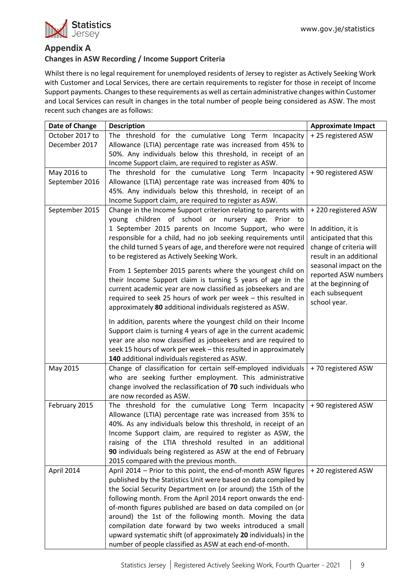### **Appendix A**

#### **Changes in ASW Recording / Income Support Criteria**

Whilst there is no legal requirement for unemployed residents of Jersey to register as Actively Seeking Work with Customer and Local Services, there are certain requirements to register for those in receipt of Income Support payments. Changes to these requirements as well as certain administrative changes within Customer and Local Services can result in changes in the total number of people being considered as ASW. The most recent such changes are as follows:

| Date of Change  | <b>Description</b>                                                                                               | <b>Approximate Impact</b> |
|-----------------|------------------------------------------------------------------------------------------------------------------|---------------------------|
| October 2017 to | The threshold for the cumulative Long Term Incapacity                                                            | +25 registered ASW        |
| December 2017   | Allowance (LTIA) percentage rate was increased from 45% to                                                       |                           |
|                 | 50%. Any individuals below this threshold, in receipt of an                                                      |                           |
|                 | Income Support claim, are required to register as ASW.                                                           |                           |
| May 2016 to     | The threshold for the cumulative Long Term Incapacity                                                            | + 90 registered ASW       |
| September 2016  | Allowance (LTIA) percentage rate was increased from 40% to                                                       |                           |
|                 | 45%. Any individuals below this threshold, in receipt of an                                                      |                           |
|                 | Income Support claim, are required to register as ASW.                                                           |                           |
| September 2015  | Change in the Income Support criterion relating to parents with                                                  | +220 registered ASW       |
|                 | children of school or nursery age. Prior to<br>young                                                             |                           |
|                 | 1 September 2015 parents on Income Support, who were                                                             | In addition, it is        |
|                 | responsible for a child, had no job seeking requirements until                                                   | anticipated that this     |
|                 | the child turned 5 years of age, and therefore were not required                                                 | change of criteria will   |
|                 | to be registered as Actively Seeking Work.                                                                       | result in an additional   |
|                 | From 1 September 2015 parents where the youngest child on                                                        | seasonal impact on the    |
|                 | their Income Support claim is turning 5 years of age in the                                                      | reported ASW numbers      |
|                 | current academic year are now classified as jobseekers and are                                                   | at the beginning of       |
|                 | required to seek 25 hours of work per week - this resulted in                                                    | each subsequent           |
|                 | approximately 80 additional individuals registered as ASW.                                                       | school year.              |
|                 |                                                                                                                  |                           |
|                 | In addition, parents where the youngest child on their Income                                                    |                           |
|                 | Support claim is turning 4 years of age in the current academic                                                  |                           |
|                 | year are also now classified as jobseekers and are required to                                                   |                           |
|                 | seek 15 hours of work per week - this resulted in approximately<br>140 additional individuals registered as ASW. |                           |
| May 2015        | Change of classification for certain self-employed individuals                                                   | +70 registered ASW        |
|                 | who are seeking further employment. This administrative                                                          |                           |
|                 | change involved the reclassification of 70 such individuals who                                                  |                           |
|                 | are now recorded as ASW.                                                                                         |                           |
| February 2015   | The threshold for the cumulative Long Term Incapacity                                                            | + 90 registered ASW       |
|                 | Allowance (LTIA) percentage rate was increased from 35% to                                                       |                           |
|                 | 40%. As any individuals below this threshold, in receipt of an                                                   |                           |
|                 | Income Support claim, are required to register as ASW, the                                                       |                           |
|                 | raising of the LTIA threshold resulted in an additional                                                          |                           |
|                 | 90 individuals being registered as ASW at the end of February                                                    |                           |
|                 | 2015 compared with the previous month.                                                                           |                           |
| April 2014      | April 2014 - Prior to this point, the end-of-month ASW figures                                                   | +20 registered ASW        |
|                 | published by the Statistics Unit were based on data compiled by                                                  |                           |
|                 | the Social Security Department on (or around) the 15th of the                                                    |                           |
|                 | following month. From the April 2014 report onwards the end-                                                     |                           |
|                 | of-month figures published are based on data compiled on (or                                                     |                           |
|                 | around) the 1st of the following month. Moving the data                                                          |                           |
|                 | compilation date forward by two weeks introduced a small                                                         |                           |
|                 | upward systematic shift (of approximately 20 individuals) in the                                                 |                           |
|                 | number of people classified as ASW at each end-of-month.                                                         |                           |